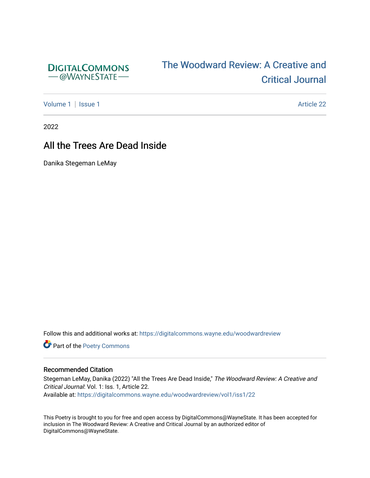

# [The Woodward Review: A Cr](https://digitalcommons.wayne.edu/woodwardreview)eative and [Critical Journal](https://digitalcommons.wayne.edu/woodwardreview)

[Volume 1](https://digitalcommons.wayne.edu/woodwardreview/vol1) | [Issue 1](https://digitalcommons.wayne.edu/woodwardreview/vol1/iss1) Article 22

2022

## All the Trees Are Dead Inside

Danika Stegeman LeMay

Follow this and additional works at: [https://digitalcommons.wayne.edu/woodwardreview](https://digitalcommons.wayne.edu/woodwardreview?utm_source=digitalcommons.wayne.edu%2Fwoodwardreview%2Fvol1%2Fiss1%2F22&utm_medium=PDF&utm_campaign=PDFCoverPages) 

Part of the [Poetry Commons](https://network.bepress.com/hgg/discipline/1153?utm_source=digitalcommons.wayne.edu%2Fwoodwardreview%2Fvol1%2Fiss1%2F22&utm_medium=PDF&utm_campaign=PDFCoverPages) 

#### Recommended Citation

Stegeman LeMay, Danika (2022) "All the Trees Are Dead Inside," The Woodward Review: A Creative and Critical Journal: Vol. 1: Iss. 1, Article 22. Available at: [https://digitalcommons.wayne.edu/woodwardreview/vol1/iss1/22](https://digitalcommons.wayne.edu/woodwardreview/vol1/iss1/22?utm_source=digitalcommons.wayne.edu%2Fwoodwardreview%2Fvol1%2Fiss1%2F22&utm_medium=PDF&utm_campaign=PDFCoverPages)

This Poetry is brought to you for free and open access by DigitalCommons@WayneState. It has been accepted for inclusion in The Woodward Review: A Creative and Critical Journal by an authorized editor of DigitalCommons@WayneState.